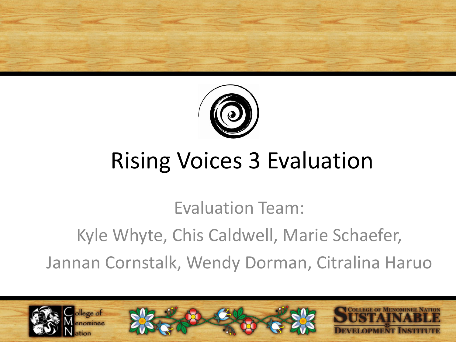



#### Rising Voices 3 Evaluation

Evaluation Team:

Kyle Whyte, Chis Caldwell, Marie Schaefer,

Jannan Cornstalk, Wendy Dorman, Citralina Haruo

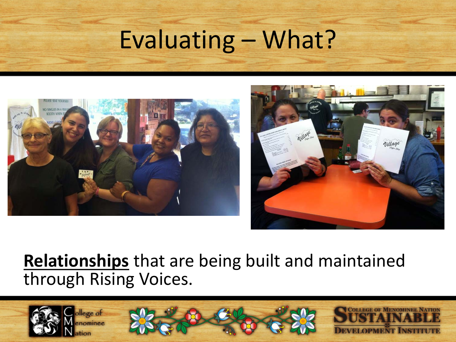





#### **Relationships** that are being built and maintained through Rising Voices.

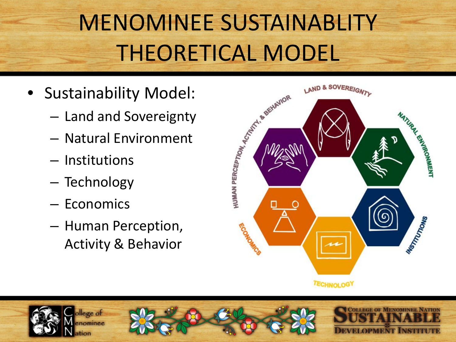# MENOMINEE SUSTAINABLITY THEORETICAL MODEL

- Sustainability Model:
	- Land and Sovereignty
	- Natural Environment
	- Institutions
	- Technology
	- Economics
	- Human Perception, Activity & Behavior





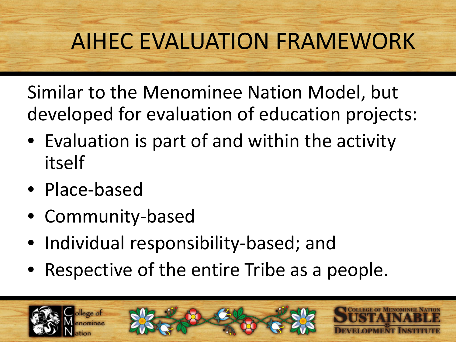## AIHEC EVALUATION FRAMEWORK

Similar to the Menominee Nation Model, but developed for evaluation of education projects:

- Evaluation is part of and within the activity itself
- Place-based
- Community-based
- Individual responsibility-based; and
- Respective of the entire Tribe as a people.

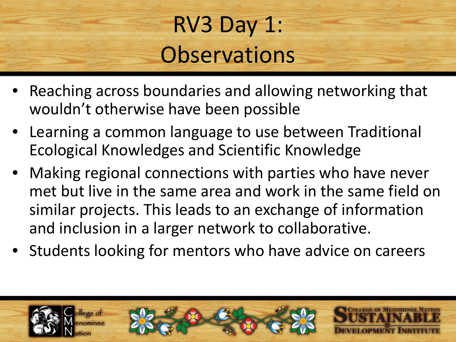## RV3 Day 1: **Observations**

- Reaching across boundaries and allowing networking that wouldn't otherwise have been possible
- Learning a common language to use between Traditional Ecological Knowledges and Scientific Knowledge
- Making regional connections with parties who have never met but live in the same area and work in the same field on similar projects. This leads to an exchange of information and inclusion in a larger network to collaborative.
- Students looking for mentors who have advice on careers

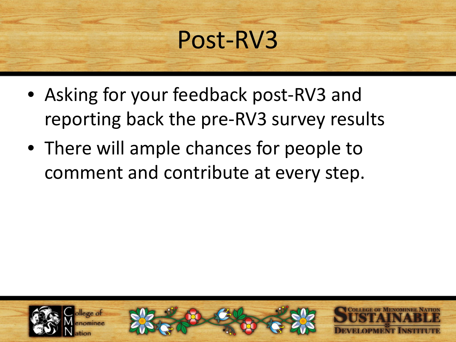## Post-RV3

- Asking for your feedback post-RV3 and reporting back the pre-RV3 survey results
- There will ample chances for people to comment and contribute at every step.